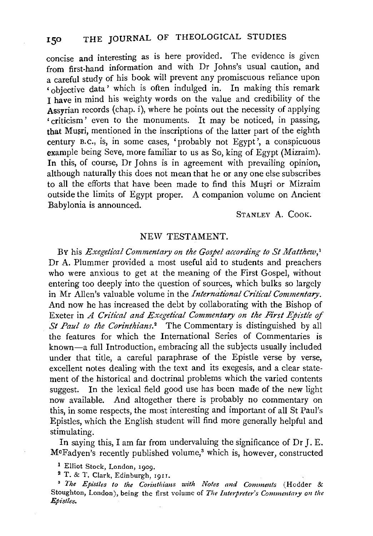concise and interesting as is here provided. The evidence is given from first-hand information and with Dr Johns's usual caution, and a careful study of his book will prevent any promiscuous reliance upon • objective data' which is often indulged in. In making this remark I have in mind his weighty words on the value and credibility of the Assyrian records (chap. i), where he points out the necessity of applying • criticism' even to the monuments. It may be noticed, in passing, that Musri, mentioned in the inscriptions of the latter part of the eighth century B. c., is, in some cases, 'probably not Egypt', a conspicuous example being Seve, more familiar to us as So, king of Egypt (Mizraim). In this, of course, Dr Johns is in agreement with prevailing opinion, although naturally this does not mean that he or any one else subscribes to all the efforts that have been made to find this Musri or Mizraim outside the limits of Egypt proper. A companion volume on Ancient Babylonia is announced.

STANLEY A. CooK.

## NEW TESTAMENT.

BY his *Exegetical Commentary on the Gospel according to St Matthew,* <sup>1</sup> Dr A. Plummer provided a most useful aid to students and preachers who were anxious to get at the meaning of the First Gospel, without entering too deeply into the question of sources, which bulks so largely in Mr Allen's valuable volume in the *International Critical Commentary*. And now he has increased the debt by collaborating with the Bishop of Exeter in *A Critical and Exegetical Commentary on the First Epistle of St Paul to the Corinthians.*<sup>2</sup> The Commentary is distinguished by all the features for which the International Series of Commentaries is known-a full Introduction, embracing all the subjects usually included under that title, a careful paraphrase of the Epistle verse by verse, excellent notes dealing with the text and its exegesis, and a clear statement of the historical and. doctrinal problems which the varied contents suggest. In the lexical field good use has been made of the new light now available. And altogether there is probably no commentary on this, in some respects, the most interesting and important of all St Paul's Epistles, which the English student will find more generally helpful and stimulating.

In saying this, I am far from undervaluing the significance of Dr J. E. M°Fadyen's recently published volume," which is, however, constructed

1 Elliot Stock, London, 1909.

2 T. & T. Clark, Edinburgh, I9II.

<sup>3</sup>*The Epistles to the Corinthians with Notes and Comments* (Hodder & Stoughton, London), being the first volume of *The Interpreter's Commentaty on the Epistles.*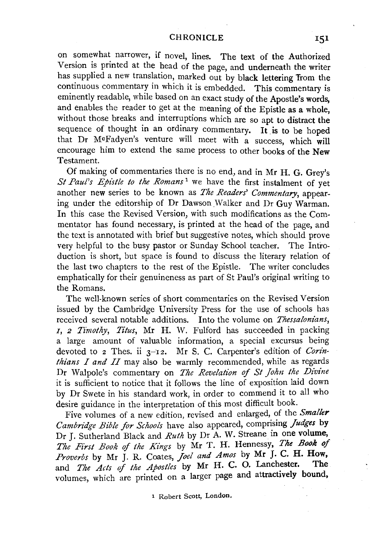## CHRONICLE

on somewhat narrower, if novel, lines. The text of the Authorized Version is printed at the head of the page, and underneath the writer has supplied a new translation, marked out by black lettering Trom the continuous commentary in which it is embedded. This commentary is eminently readable, while based on an exact study of the Apostle's words, and enables the reader to get at the meaning of the Epistle as a whole, without those breaks and interruptions which are so apt to distract the sequence of thought in an ordinary commentary. It is to be hoped that Dr McFadyen's venture will meet with a success, which will encourage him to extend the same process to other books of the New Testament.

Of making of commentaries there is no end, and in Mr H. G. Grey's *St Paul's Epistle to the Romans* 1 we have the first instalment of yet another new series to be known as *The Readers' Commentary,* appearing under the editorship of Dr Dawson Walker and Dr Guy Warman. In this case the Revised Version, with such modifications as the Commentator has found necessary, is printed at the head of the page, and the text is annotated with brief but suggestive notes, which should prove very helpful to the busy pastor or Sunday School teacher. The Introduction is short, but space is found to discuss the literary relation of the last two chapters to the rest of the Epistle. The writer concludes emphatically for their genuineness as part of St Paul's original writing to the Romans.

The well-known series of short commentaries on the Revised Version issued by the Cambridge University Press for the use of schools has received several notable additions. Into the volume on *Thessalonians, I, 2 7rmothy, Titus,* Mr H. W. Fulford has succeeded in packing a large amount of valuable information, a special excursus being devoted to 2 Thes. ii 3-12. Mr S. C. Carpenter's edition of *Corinthians* I *and* II may also be warmly recommended, while as regards Dr Walpole's commentary on *The Revelation of SI John the Divine*  it is sufficient to notice that it follows the line of exposition laid down by Dr Swete in his standard work, in order to commend it to all who desire guidance in the interpretation of this most difficult book.

Five volumes of a new edition, revised and enlarged, of the *Smaller*  Cambridge Bible for Schools have also appeared, comprising *Judges* by Dr J. Sutherland Black and *Ruth* by Dr A. W. Streane in one volume, *The First Book* of *the Kings* by Mr T. H. Hennessy, *The Book of Proverbs* by Mr J. R. Coates, *Joel and Amos* by Mr J. C. H. How, and *The Acts of the Apostles* by Mr H. C. O. Lanchester. The volumes, which are printed on a larger page and attractively bound,